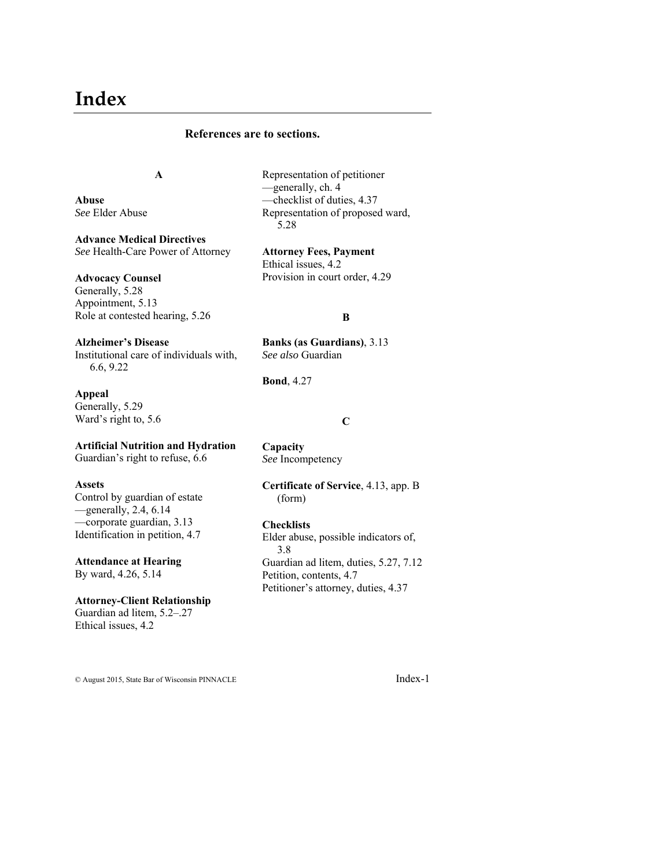# **Index**

## **References are to sections.**

# **A**

**Abuse**  *See* Elder Abuse

**Advance Medical Directives**  *See* Health-Care Power of Attorney

## **Advocacy Counsel**

Generally, 5.28 Appointment, 5.13 Role at contested hearing, 5.26

**Alzheimer's Disease** Institutional care of individuals with, 6.6, 9.22

**Appeal** Generally, 5.29 Ward's right to, 5.6

## **Artificial Nutrition and Hydration**

Guardian's right to refuse, 6.6

#### **Assets**

Control by guardian of estate —generally, 2.4, 6.14 —corporate guardian, 3.13 Identification in petition, 4.7

# **Attendance at Hearing**

By ward, 4.26, 5.14

#### **Attorney-Client Relationship**

Guardian ad litem, 5.2–.27 Ethical issues, 4.2

Representation of petitioner —generally, ch. 4 —checklist of duties, 4.37 Representation of proposed ward, 5.28

**Attorney Fees, Payment** Ethical issues, 4.2 Provision in court order, 4.29

#### **B**

**Banks (as Guardians)**, 3.13 *See also* Guardian

**Bond**, 4.27

#### **C**

**Capacity**  *See* Incompetency

#### **Certificate of Service**, 4.13, app. B (form)

## **Checklists**

Elder abuse, possible indicators of, 3.8 Guardian ad litem, duties, 5.27, 7.12 Petition, contents, 4.7 Petitioner's attorney, duties, 4.37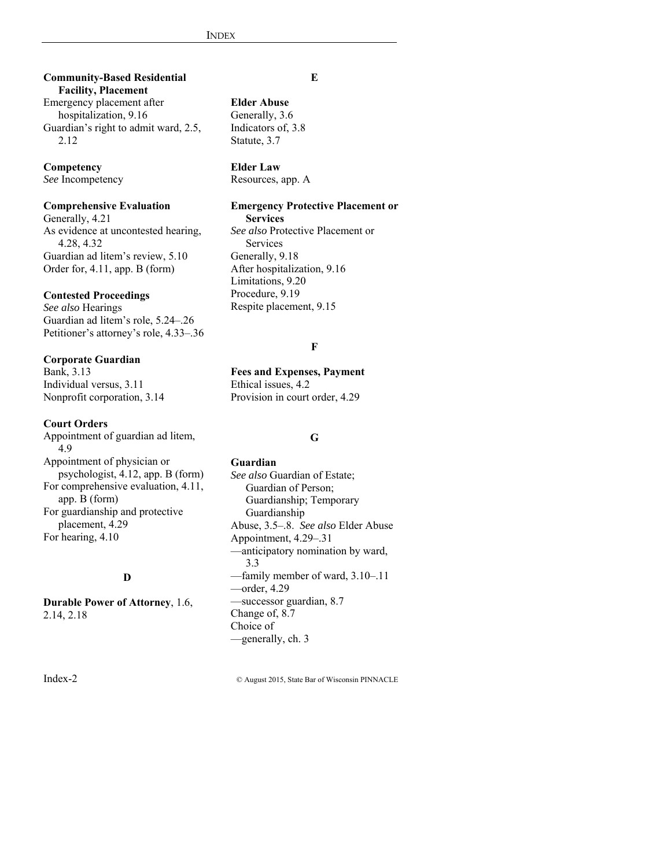**Community-Based Residential Facility, Placement**

Emergency placement after hospitalization, 9.16 Guardian's right to admit ward, 2.5, 2.12

#### **Competency**

*See* Incompetency

## **Comprehensive Evaluation**

Generally, 4.21 As evidence at uncontested hearing, 4.28, 4.32 Guardian ad litem's review, 5.10 Order for, 4.11, app. B (form)

## **Contested Proceedings**

*See also* Hearings Guardian ad litem's role, 5.24–.26 Petitioner's attorney's role, 4.33–.36

**Corporate Guardian** Bank, 3.13 Individual versus, 3.11 Nonprofit corporation, 3.14

## **Court Orders**

Appointment of guardian ad litem, 4.9 Appointment of physician or psychologist, 4.12, app. B (form) For comprehensive evaluation, 4.11, app. B (form) For guardianship and protective placement, 4.29 For hearing, 4.10

# **D**

**Durable Power of Attorney**, 1.6, 2.14, 2.18

#### **E**

# **Elder Abuse**

Generally, 3.6 Indicators of, 3.8 Statute, 3.7

#### **Elder Law**

Resources, app. A

## **Emergency Protective Placement or**

**Services**

*See also* Protective Placement or Services Generally, 9.18 After hospitalization, 9.16 Limitations, 9.20 Procedure, 9.19 Respite placement, 9.15

#### **F**

**Fees and Expenses, Payment** Ethical issues, 4.2 Provision in court order, 4.29

#### **G**

## **Guardian** *See also* Guardian of Estate; Guardian of Person; Guardianship; Temporary Guardianship Abuse, 3.5–.8. *See also* Elder Abuse Appointment, 4.29–.31 —anticipatory nomination by ward, 3.3 —family member of ward, 3.10–.11 —order, 4.29 —successor guardian, 8.7 Change of, 8.7 Choice of —generally, ch. 3

Index-2 © August 2015, State Bar of Wisconsin PINNACLE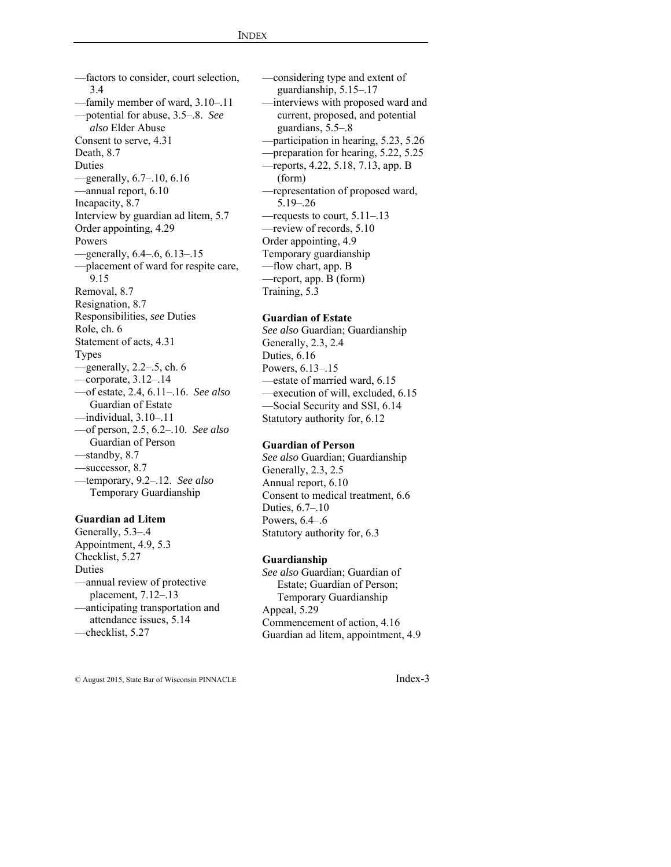—factors to consider, court selection, 3.4 —family member of ward, 3.10–.11 —potential for abuse, 3.5–.8. *See also* Elder Abuse Consent to serve, 4.31 Death, 8.7 Duties —generally, 6.7–.10, 6.16 —annual report, 6.10 Incapacity, 8.7 Interview by guardian ad litem, 5.7 Order appointing, 4.29 Powers —generally, 6.4–.6, 6.13–.15 —placement of ward for respite care, 9.15 Removal, 8.7 Resignation, 8.7 Responsibilities, *see* Duties Role, ch. 6 Statement of acts, 4.31 Types  $-$ generally, 2.2–.5, ch. 6 —corporate, 3.12–.14 —of estate, 2.4, 6.11–.16. *See also* Guardian of Estate —individual, 3.10–.11 —of person, 2.5, 6.2–.10. *See also* Guardian of Person —standby, 8.7 —successor, 8.7 —temporary, 9.2–.12. *See also* Temporary Guardianship

## **Guardian ad Litem**

Generally, 5.3–.4 Appointment, 4.9, 5.3 Checklist, 5.27 Duties —annual review of protective placement, 7.12–.13 —anticipating transportation and attendance issues, 5.14 —checklist, 5.27

—considering type and extent of guardianship, 5.15–.17 —interviews with proposed ward and current, proposed, and potential guardians, 5.5–.8 —participation in hearing, 5.23, 5.26 —preparation for hearing, 5.22, 5.25 —reports, 4.22, 5.18, 7.13, app. B (form) —representation of proposed ward, 5.19–.26 —requests to court, 5.11–.13 —review of records, 5.10 Order appointing, 4.9 Temporary guardianship —flow chart, app. B —report, app. B (form) Training, 5.3

## **Guardian of Estate**

*See also* Guardian; Guardianship Generally, 2.3, 2.4 Duties, 6.16 Powers, 6.13–.15 —estate of married ward, 6.15 —execution of will, excluded, 6.15 —Social Security and SSI, 6.14 Statutory authority for, 6.12

## **Guardian of Person**

*See also* Guardian; Guardianship Generally, 2.3, 2.5 Annual report, 6.10 Consent to medical treatment, 6.6 Duties, 6.7–.10 Powers, 6.4–.6 Statutory authority for, 6.3

#### **Guardianship**

*See also* Guardian; Guardian of Estate; Guardian of Person; Temporary Guardianship Appeal, 5.29 Commencement of action, 4.16 Guardian ad litem, appointment, 4.9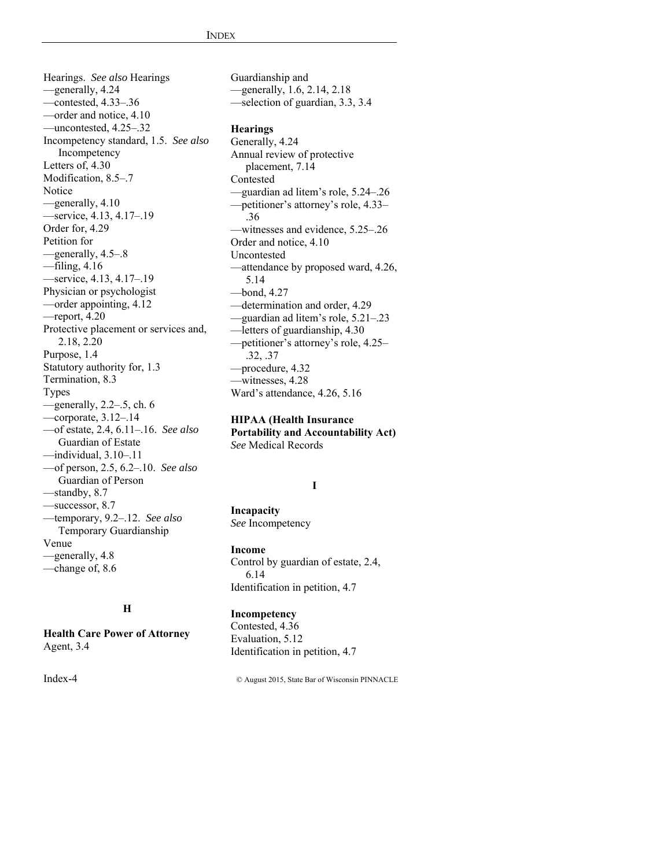Hearings. *See also* Hearings —generally, 4.24 —contested, 4.33–.36 —order and notice, 4.10 —uncontested, 4.25–.32 Incompetency standard, 1.5. *See also* Incompetency Letters of, 4.30 Modification, 8.5–.7 Notice —generally, 4.10 —service, 4.13, 4.17–.19 Order for, 4.29 Petition for —generally, 4.5–.8 —filing, 4.16 —service, 4.13, 4.17–.19 Physician or psychologist —order appointing, 4.12  $-$ report, 4.20 Protective placement or services and, 2.18, 2.20 Purpose, 1.4 Statutory authority for, 1.3 Termination, 8.3 Types  $-$ generally, 2.2–.5, ch. 6 —corporate, 3.12–.14 —of estate, 2.4, 6.11–.16. *See also* Guardian of Estate —individual, 3.10–.11 —of person, 2.5, 6.2–.10. *See also* Guardian of Person —standby, 8.7 —successor, 8.7 —temporary, 9.2–.12. *See also* Temporary Guardianship Venue —generally, 4.8

## **H**

**Health Care Power of Attorney** Agent, 3.4

—change of, 8.6

Guardianship and —generally, 1.6, 2.14, 2.18 —selection of guardian, 3.3, 3.4

# **Hearings**

Generally, 4.24 Annual review of protective placement, 7.14 Contested —guardian ad litem's role, 5.24–.26 —petitioner's attorney's role, 4.33– .36 —witnesses and evidence, 5.25–.26 Order and notice, 4.10 Uncontested —attendance by proposed ward, 4.26, 5.14 —bond, 4.27 —determination and order, 4.29 —guardian ad litem's role, 5.21–.23 —letters of guardianship, 4.30 —petitioner's attorney's role, 4.25– .32, .37 —procedure, 4.32 —witnesses, 4.28 Ward's attendance, 4.26, 5.16

#### **HIPAA (Health Insurance**

**Portability and Accountability Act)**  *See* Medical Records

## **I**

**Incapacity**  *See* Incompetency

## **Income**

Control by guardian of estate, 2.4, 6.14 Identification in petition, 4.7

## **Incompetency**

Contested, 4.36 Evaluation, 5.12 Identification in petition, 4.7

Index-4 © August 2015, State Bar of Wisconsin PINNACLE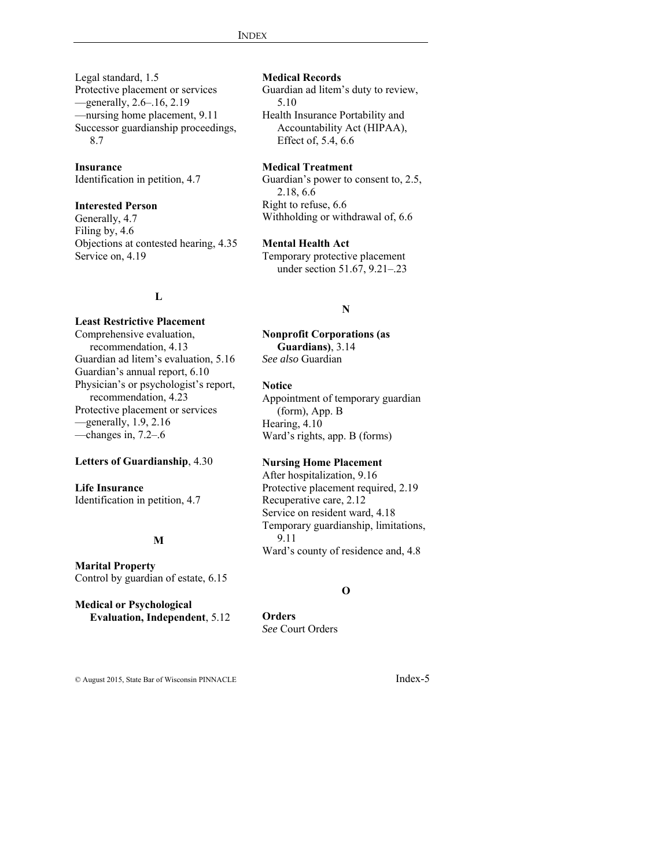Legal standard, 1.5 Protective placement or services —generally, 2.6–.16, 2.19 —nursing home placement, 9.11 Successor guardianship proceedings, 8.7

**Insurance**

Identification in petition, 4.7

## **Interested Person**

Generally, 4.7 Filing by, 4.6 Objections at contested hearing, 4.35 Service on, 4.19

## **L**

#### **Least Restrictive Placement**

Comprehensive evaluation, recommendation, 4.13 Guardian ad litem's evaluation, 5.16 Guardian's annual report, 6.10 Physician's or psychologist's report, recommendation, 4.23 Protective placement or services —generally, 1.9, 2.16 —changes in, 7.2–.6

#### **Letters of Guardianship**, 4.30

## **Life Insurance**

Identification in petition, 4.7

# **M**

**Marital Property** Control by guardian of estate, 6.15

**Medical or Psychological Evaluation, Independent**, 5.12

#### **Medical Records**

Guardian ad litem's duty to review, 5.10 Health Insurance Portability and Accountability Act (HIPAA), Effect of, 5.4, 6.6

#### **Medical Treatment**

Guardian's power to consent to, 2.5, 2.18, 6.6 Right to refuse, 6.6 Withholding or withdrawal of, 6.6

#### **Mental Health Act**

Temporary protective placement under section 51.67, 9.21–.23

#### **N**

**Nonprofit Corporations (as Guardians)**, 3.14 *See also* Guardian

#### **Notice**

Appointment of temporary guardian (form), App. B Hearing, 4.10 Ward's rights, app. B (forms)

## **Nursing Home Placement**

After hospitalization, 9.16 Protective placement required, 2.19 Recuperative care, 2.12 Service on resident ward, 4.18 Temporary guardianship, limitations, 9.11 Ward's county of residence and, 4.8

#### **O**

**Orders**  *See* Court Orders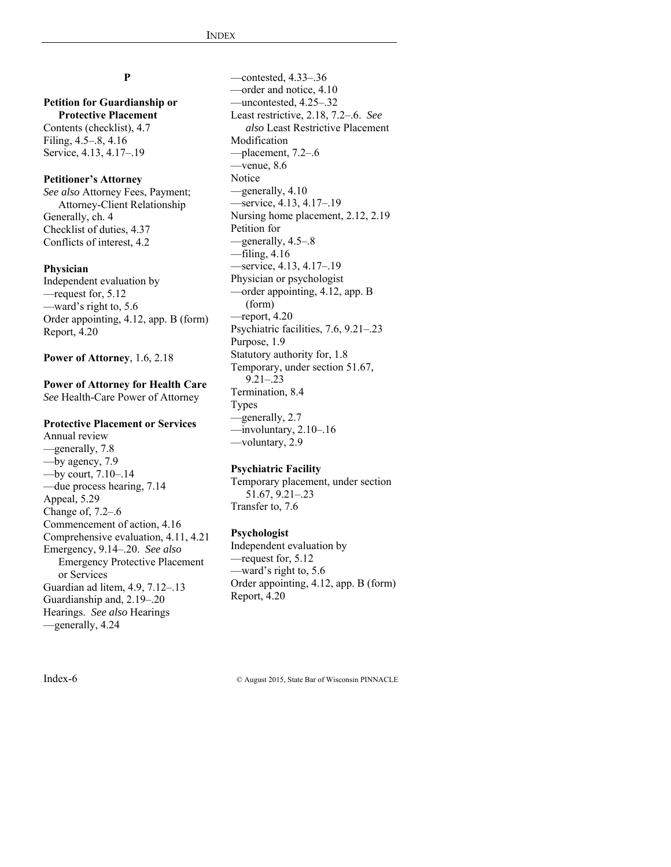## **P**

## **Petition for Guardianship or Protective Placement** Contents (checklist), 4.7 Filing, 4.5–.8, 4.16 Service, 4.13, 4.17–.19

## **Petitioner's Attorney**

*See also* Attorney Fees, Payment; Attorney-Client Relationship Generally, ch. 4 Checklist of duties, 4.37 Conflicts of interest, 4.2

#### **Physician**

Independent evaluation by —request for, 5.12 —ward's right to, 5.6 Order appointing, 4.12, app. B (form) Report, 4.20

**Power of Attorney**, 1.6, 2.18

## **Power of Attorney for Health Care**  *See* Health-Care Power of Attorney

#### **Protective Placement or Services**

Annual review —generally, 7.8 —by agency, 7.9 —by court, 7.10–.14 —due process hearing, 7.14 Appeal, 5.29 Change of, 7.2–.6 Commencement of action, 4.16 Comprehensive evaluation, 4.11, 4.21 Emergency, 9.14–.20. *See also* Emergency Protective Placement or Services Guardian ad litem, 4.9, 7.12–.13 Guardianship and, 2.19–.20 Hearings. *See also* Hearings —generally, 4.24

—contested, 4.33–.36 —order and notice, 4.10 —uncontested, 4.25–.32 Least restrictive, 2.18, 7.2–.6. *See also* Least Restrictive Placement Modification —placement, 7.2–.6 —venue, 8.6 Notice —generally, 4.10 —service, 4.13, 4.17–.19 Nursing home placement, 2.12, 2.19 Petition for —generally, 4.5–.8 —filing, 4.16 —service, 4.13, 4.17–.19 Physician or psychologist —order appointing, 4.12, app. B (form) —report, 4.20 Psychiatric facilities, 7.6, 9.21–.23 Purpose, 1.9 Statutory authority for, 1.8 Temporary, under section 51.67, 9.21–.23 Termination, 8.4 Types —generally, 2.7  $-$ involuntary, 2.10–.16 —voluntary, 2.9

## **Psychiatric Facility**

Temporary placement, under section 51.67, 9.21–.23 Transfer to, 7.6

#### **Psychologist**

Independent evaluation by —request for, 5.12 —ward's right to, 5.6 Order appointing, 4.12, app. B (form) Report, 4.20

Index-6 © August 2015, State Bar of Wisconsin PINNACLE